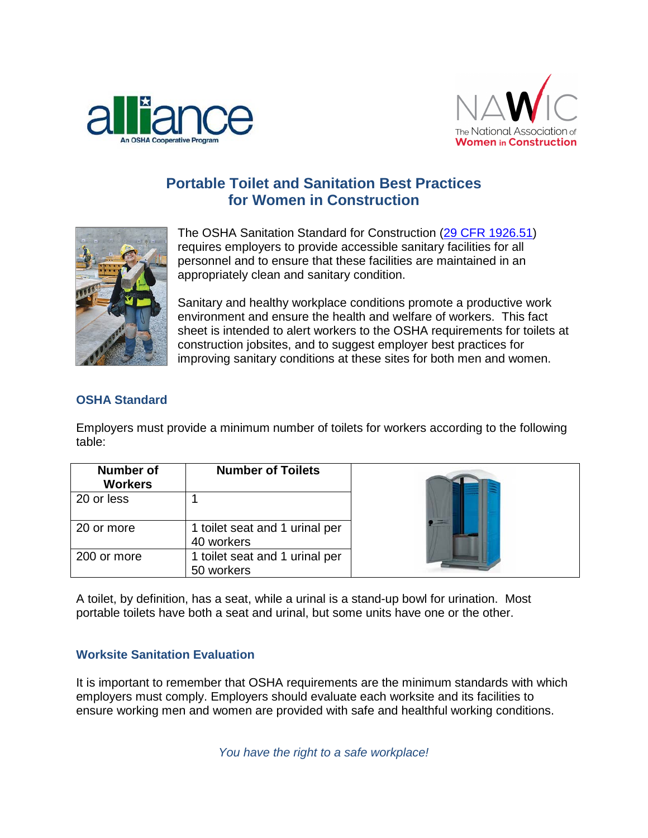



## **Portable Toilet and Sanitation Best Practices for Women in Construction**



The OSHA Sanitation Standard for Construction [\(29 CFR 1926.51\)](https://www.osha.gov/pls/oshaweb/owadisp.show_document?p_table=STANDARDS&p_id=10624) requires employers to provide accessible sanitary facilities for all personnel and to ensure that these facilities are maintained in an appropriately clean and sanitary condition.

Sanitary and healthy workplace conditions promote a productive work environment and ensure the health and welfare of workers. This fact sheet is intended to alert workers to the OSHA requirements for toilets at construction jobsites, and to suggest employer best practices for improving sanitary conditions at these sites for both men and women.

## **OSHA Standard**

Employers must provide a minimum number of toilets for workers according to the following table:

| <b>Number of</b><br><b>Workers</b> | <b>Number of Toilets</b>                     |  |
|------------------------------------|----------------------------------------------|--|
| 20 or less                         |                                              |  |
| 20 or more                         | 1 toilet seat and 1 urinal per<br>40 workers |  |
| 200 or more                        | 1 toilet seat and 1 urinal per<br>50 workers |  |

A toilet, by definition, has a seat, while a urinal is a stand-up bowl for urination. Most portable toilets have both a seat and urinal, but some units have one or the other.

## **Worksite Sanitation Evaluation**

It is important to remember that OSHA requirements are the minimum standards with which employers must comply. Employers should evaluate each worksite and its facilities to ensure working men and women are provided with safe and healthful working conditions.

*You have the right to a safe workplace!*